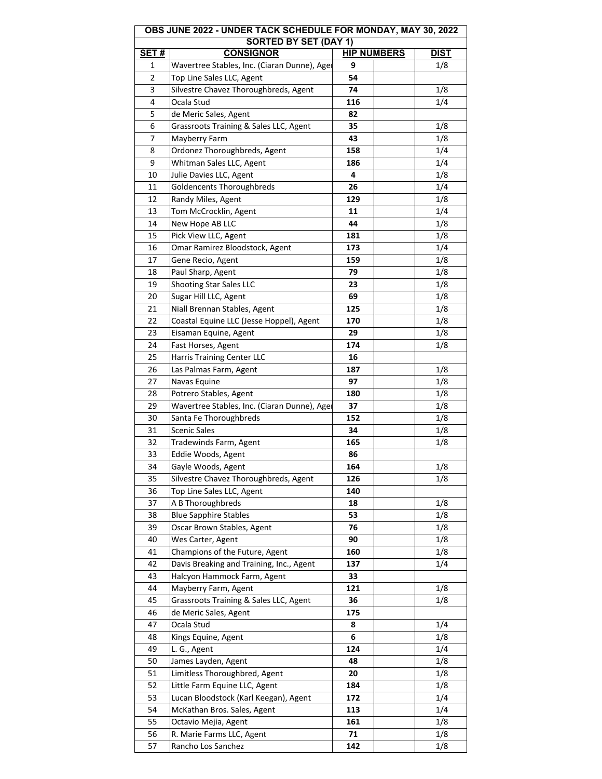| OBS JUNE 2022 - UNDER TACK SCHEDULE FOR MONDAY, MAY 30, 2022 |                                                  |                    |             |  |  |
|--------------------------------------------------------------|--------------------------------------------------|--------------------|-------------|--|--|
| SET#                                                         | <b>SORTED BY SET (DAY 1)</b><br><b>CONSIGNOR</b> | <b>HIP NUMBERS</b> | <b>DIST</b> |  |  |
| 1                                                            | Wavertree Stables, Inc. (Ciaran Dunne), Ager     | 9                  | 1/8         |  |  |
| 2                                                            | Top Line Sales LLC, Agent                        | 54                 |             |  |  |
| 3                                                            | Silvestre Chavez Thoroughbreds, Agent            | 74                 | 1/8         |  |  |
| 4                                                            | Ocala Stud                                       | 116                | 1/4         |  |  |
| 5                                                            | de Meric Sales, Agent                            | 82                 |             |  |  |
| 6                                                            | Grassroots Training & Sales LLC, Agent           | 35                 | 1/8         |  |  |
| 7                                                            | Mayberry Farm                                    | 43                 | 1/8         |  |  |
| 8                                                            | Ordonez Thoroughbreds, Agent                     | 158                | 1/4         |  |  |
| 9                                                            | Whitman Sales LLC, Agent                         | 186                | 1/4         |  |  |
| 10                                                           | Julie Davies LLC, Agent                          | 4                  | 1/8         |  |  |
| 11                                                           | Goldencents Thoroughbreds                        | 26                 | 1/4         |  |  |
| 12                                                           | Randy Miles, Agent                               | 129                | 1/8         |  |  |
| 13                                                           | Tom McCrocklin, Agent                            | 11                 | 1/4         |  |  |
| 14                                                           | New Hope AB LLC                                  | 44                 | 1/8         |  |  |
| 15                                                           | Pick View LLC, Agent                             | 181                | 1/8         |  |  |
| 16                                                           | Omar Ramirez Bloodstock, Agent                   | 173                | 1/4         |  |  |
| 17                                                           | Gene Recio, Agent                                | 159                | 1/8         |  |  |
| 18                                                           | Paul Sharp, Agent                                | 79                 | 1/8         |  |  |
| 19                                                           | <b>Shooting Star Sales LLC</b>                   | 23                 | 1/8         |  |  |
| 20                                                           | Sugar Hill LLC, Agent                            | 69                 | 1/8         |  |  |
| 21                                                           | Niall Brennan Stables, Agent                     | 125                | 1/8         |  |  |
| 22                                                           | Coastal Equine LLC (Jesse Hoppel), Agent         | 170                | 1/8         |  |  |
| 23                                                           | Eisaman Equine, Agent                            | 29                 | 1/8         |  |  |
| 24                                                           | Fast Horses, Agent                               | 174                | 1/8         |  |  |
| 25                                                           |                                                  | 16                 |             |  |  |
| 26                                                           | Harris Training Center LLC                       | 187                | 1/8         |  |  |
|                                                              | Las Palmas Farm, Agent                           |                    |             |  |  |
| 27                                                           | Navas Equine                                     | 97                 | 1/8         |  |  |
| 28<br>29                                                     | Potrero Stables, Agent                           | 180<br>37          | 1/8<br>1/8  |  |  |
|                                                              | Wavertree Stables, Inc. (Ciaran Dunne), Ager     |                    |             |  |  |
| 30                                                           | Santa Fe Thoroughbreds<br><b>Scenic Sales</b>    | 152<br>34          | 1/8         |  |  |
| 31<br>32                                                     |                                                  |                    | 1/8         |  |  |
|                                                              | Tradewinds Farm, Agent                           | 165                | 1/8         |  |  |
| 33                                                           | Eddie Woods, Agent                               | 86                 |             |  |  |
| 34                                                           | Gayle Woods, Agent                               | 164                | 1/8         |  |  |
| 35                                                           | Silvestre Chavez Thoroughbreds, Agent            | 126                | 1/8         |  |  |
| 36                                                           | Top Line Sales LLC, Agent                        | 140                |             |  |  |
| 37                                                           | A B Thoroughbreds                                | 18                 | 1/8         |  |  |
| 38                                                           | <b>Blue Sapphire Stables</b>                     | 53                 | 1/8         |  |  |
| 39                                                           | Oscar Brown Stables, Agent                       | 76                 | 1/8         |  |  |
| 40                                                           | Wes Carter, Agent                                | 90                 | 1/8         |  |  |
| 41                                                           | Champions of the Future, Agent                   | 160                | 1/8         |  |  |
| 42                                                           | Davis Breaking and Training, Inc., Agent         | 137                | 1/4         |  |  |
| 43                                                           | Halcyon Hammock Farm, Agent                      | 33                 |             |  |  |
| 44                                                           | Mayberry Farm, Agent                             | 121                | 1/8         |  |  |
| 45                                                           | Grassroots Training & Sales LLC, Agent           | 36                 | 1/8         |  |  |
| 46                                                           | de Meric Sales, Agent                            | 175                |             |  |  |
| 47                                                           | Ocala Stud                                       | 8                  | 1/4         |  |  |
| 48                                                           | Kings Equine, Agent                              | 6                  | 1/8         |  |  |
| 49                                                           | L. G., Agent                                     | 124                | 1/4         |  |  |
| 50                                                           | James Layden, Agent                              | 48                 | 1/8         |  |  |
| 51                                                           | Limitless Thoroughbred, Agent                    | 20                 | 1/8         |  |  |
| 52                                                           | Little Farm Equine LLC, Agent                    | 184                | 1/8         |  |  |
| 53                                                           | Lucan Bloodstock (Karl Keegan), Agent            | 172                | 1/4         |  |  |
| 54                                                           | McKathan Bros. Sales, Agent                      | 113                | 1/4         |  |  |
| 55                                                           | Octavio Mejia, Agent                             | 161                | 1/8         |  |  |
| 56                                                           | R. Marie Farms LLC, Agent                        | 71                 | 1/8         |  |  |
| 57                                                           | Rancho Los Sanchez                               | 142                | 1/8         |  |  |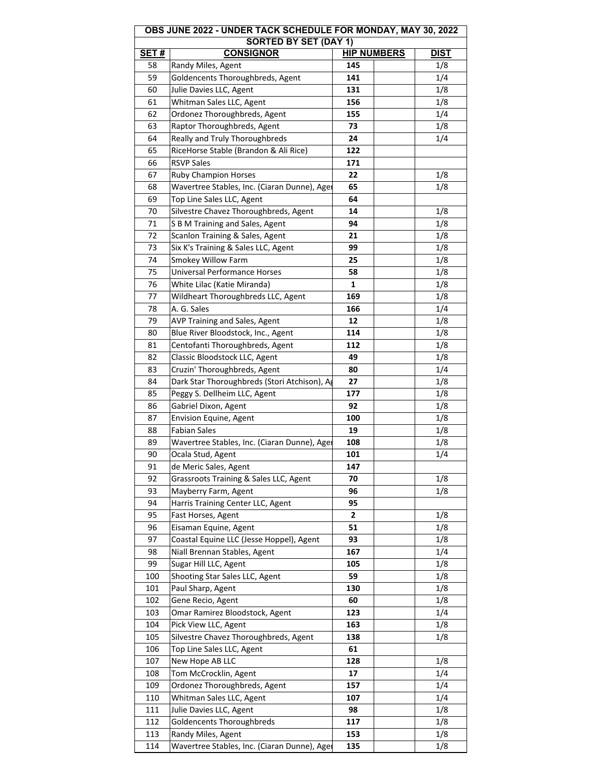| <b>OBS JUNE 2022 - UNDER TACK SCHEDULE FOR MONDAY, MAY 30, 2022</b> |                                              |                    |  |             |  |  |
|---------------------------------------------------------------------|----------------------------------------------|--------------------|--|-------------|--|--|
| <b>SORTED BY SET (DAY 1)</b>                                        |                                              |                    |  |             |  |  |
| <u>SET #</u>                                                        | <b>CONSIGNOR</b>                             | <b>HIP NUMBERS</b> |  | <u>DIST</u> |  |  |
| 58                                                                  | Randy Miles, Agent                           | 145                |  | 1/8         |  |  |
| 59                                                                  | Goldencents Thoroughbreds, Agent             | 141                |  | 1/4         |  |  |
| 60                                                                  | Julie Davies LLC, Agent                      | 131                |  | 1/8         |  |  |
| 61                                                                  | Whitman Sales LLC, Agent                     | 156                |  | 1/8         |  |  |
| 62                                                                  | Ordonez Thoroughbreds, Agent                 | 155                |  | 1/4         |  |  |
| 63                                                                  | Raptor Thoroughbreds, Agent                  | 73                 |  | 1/8         |  |  |
| 64                                                                  | Really and Truly Thoroughbreds               | 24                 |  | 1/4         |  |  |
| 65                                                                  | RiceHorse Stable (Brandon & Ali Rice)        | 122                |  |             |  |  |
| 66                                                                  | <b>RSVP Sales</b>                            | 171                |  |             |  |  |
| 67                                                                  | <b>Ruby Champion Horses</b>                  | 22                 |  | 1/8         |  |  |
| 68                                                                  | Wavertree Stables, Inc. (Ciaran Dunne), Ager | 65                 |  | 1/8         |  |  |
| 69                                                                  | Top Line Sales LLC, Agent                    | 64                 |  |             |  |  |
| 70                                                                  | Silvestre Chavez Thoroughbreds, Agent        | 14                 |  | 1/8         |  |  |
| 71                                                                  | S B M Training and Sales, Agent              | 94                 |  | 1/8         |  |  |
| 72                                                                  | Scanlon Training & Sales, Agent              | 21                 |  | 1/8         |  |  |
| 73                                                                  | Six K's Training & Sales LLC, Agent          | 99                 |  | 1/8         |  |  |
| 74                                                                  | Smokey Willow Farm                           | 25                 |  | 1/8         |  |  |
| 75                                                                  | <b>Universal Performance Horses</b>          | 58                 |  | 1/8         |  |  |
| 76                                                                  | White Lilac (Katie Miranda)                  | 1                  |  | 1/8         |  |  |
| 77                                                                  | Wildheart Thoroughbreds LLC, Agent           | 169                |  | 1/8         |  |  |
| 78                                                                  | A. G. Sales                                  | 166                |  | 1/4         |  |  |
| 79                                                                  | AVP Training and Sales, Agent                | 12                 |  | 1/8         |  |  |
| 80                                                                  | Blue River Bloodstock, Inc., Agent           | 114                |  | 1/8         |  |  |
| 81                                                                  | Centofanti Thoroughbreds, Agent              | 112                |  | 1/8         |  |  |
| 82                                                                  | Classic Bloodstock LLC, Agent                | 49                 |  | 1/8         |  |  |
| 83                                                                  | Cruzin' Thoroughbreds, Agent                 | 80                 |  | 1/4         |  |  |
| 84                                                                  | Dark Star Thoroughbreds (Stori Atchison), Ag | 27                 |  | 1/8         |  |  |
| 85                                                                  | Peggy S. Dellheim LLC, Agent                 | 177                |  | 1/8         |  |  |
| 86                                                                  | Gabriel Dixon, Agent                         | 92                 |  | 1/8         |  |  |
| 87                                                                  | Envision Equine, Agent                       | 100                |  | 1/8         |  |  |
| 88                                                                  | <b>Fabian Sales</b>                          | 19                 |  | 1/8         |  |  |
| 89                                                                  | Wavertree Stables, Inc. (Ciaran Dunne), Ager | 108                |  | 1/8         |  |  |
| 90                                                                  | Ocala Stud, Agent                            | 101                |  | 1/4         |  |  |
| 91                                                                  | de Meric Sales, Agent                        | 147                |  |             |  |  |
| 92                                                                  | Grassroots Training & Sales LLC, Agent       | 70                 |  | 1/8         |  |  |
| 93                                                                  | Mayberry Farm, Agent                         | 96                 |  | 1/8         |  |  |
| 94                                                                  | Harris Training Center LLC, Agent            | 95                 |  |             |  |  |
| 95                                                                  | Fast Horses, Agent                           | $\mathbf{2}$       |  | 1/8         |  |  |
| 96                                                                  | Eisaman Equine, Agent                        | 51                 |  | 1/8         |  |  |
| 97                                                                  | Coastal Equine LLC (Jesse Hoppel), Agent     | 93                 |  | 1/8         |  |  |
| 98                                                                  | Niall Brennan Stables, Agent                 | 167                |  | 1/4         |  |  |
| 99                                                                  | Sugar Hill LLC, Agent                        | 105                |  | 1/8         |  |  |
| 100                                                                 | Shooting Star Sales LLC, Agent               | 59                 |  | 1/8         |  |  |
| 101                                                                 | Paul Sharp, Agent                            | 130                |  | 1/8         |  |  |
| 102                                                                 | Gene Recio, Agent                            | 60                 |  | 1/8         |  |  |
| 103                                                                 | Omar Ramirez Bloodstock, Agent               | 123                |  | 1/4         |  |  |
| 104                                                                 | Pick View LLC, Agent                         | 163                |  | 1/8         |  |  |
| 105                                                                 | Silvestre Chavez Thoroughbreds, Agent        | 138                |  | 1/8         |  |  |
| 106                                                                 | Top Line Sales LLC, Agent                    | 61                 |  |             |  |  |
| 107                                                                 | New Hope AB LLC                              | 128                |  | 1/8         |  |  |
| 108                                                                 | Tom McCrocklin, Agent                        | 17                 |  | 1/4         |  |  |
| 109                                                                 | Ordonez Thoroughbreds, Agent                 | 157                |  | 1/4         |  |  |
| 110                                                                 | Whitman Sales LLC, Agent                     | 107                |  | 1/4         |  |  |
| 111                                                                 | Julie Davies LLC, Agent                      | 98                 |  | 1/8         |  |  |
| 112                                                                 | Goldencents Thoroughbreds                    | 117                |  | 1/8         |  |  |
| 113                                                                 | Randy Miles, Agent                           | 153                |  | 1/8         |  |  |
| 114                                                                 | Wavertree Stables, Inc. (Ciaran Dunne), Ager | 135                |  | 1/8         |  |  |